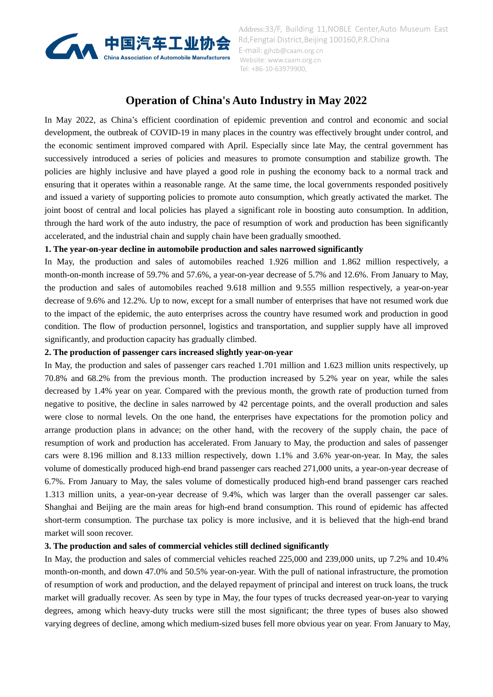

# **Operation of China's Auto Industry in May 2022**

In May 2022, as China's efficient coordination of epidemic prevention and control and economic and social development, the outbreak of COVID-19 in many places in the country was effectively brought under control, and the economic sentiment improved compared with April. Especially since late May, the central government has successively introduced a series of policies and measures to promote consumption and stabilize growth. The policies are highly inclusive and have played a good role in pushing the economy back to a normal track and ensuring that it operates within a reasonable range. At the same time, the local governments responded positively and issued a variety of supporting policies to promote auto consumption, which greatly activated the market. The joint boost of central and local policies has played a significant role in boosting auto consumption. In addition, through the hard work of the auto industry, the pace of resumption of work and production has been significantly accelerated, and the industrial chain and supply chain have been gradually smoothed.

## **1. The year-on-year decline in automobile production and sales narrowed significantly**

In May, the production and sales of automobiles reached 1.926 million and 1.862 million respectively, a month-on-month increase of 59.7% and 57.6%, a year-on-year decrease of 5.7% and 12.6%. From January to May, the production and sales of automobiles reached 9.618 million and 9.555 million respectively, a year-on-year decrease of 9.6% and 12.2%. Up to now, except for a small number of enterprises that have not resumed work due to the impact of the epidemic, the auto enterprises across the country have resumed work and production in good condition. The flow of production personnel, logistics and transportation, and supplier supply have all improved significantly, and production capacity has gradually climbed.

## **2. The production of passenger cars increased slightly year-on-year**

In May, the production and sales of passenger cars reached 1.701 million and 1.623 million units respectively, up 70.8% and 68.2% from the previous month. The production increased by 5.2% year on year, while the sales decreased by 1.4% year on year. Compared with the previous month, the growth rate of production turned from negative to positive, the decline in sales narrowed by 42 percentage points, and the overall production and sales were close to normal levels. On the one hand, the enterprises have expectations for the promotion policy and arrange production plans in advance; on the other hand, with the recovery of the supply chain, the pace of resumption of work and production has accelerated. From January to May, the production and sales of passenger cars were 8.196 million and 8.133 million respectively, down 1.1% and 3.6% year-on-year. In May, the sales volume of domestically produced high-end brand passenger cars reached 271,000 units, a year-on-year decrease of 6.7%. From January to May, the sales volume of domestically produced high-end brand passenger cars reached 1.313 million units, a year-on-year decrease of 9.4%, which was larger than the overall passenger car sales. Shanghai and Beijing are the main areas for high-end brand consumption. This round of epidemic has affected short-term consumption. The purchase tax policy is more inclusive, and it is believed that the high-end brand market will soon recover.

## **3. The production and sales of commercial vehicles still declined significantly**

In May, the production and sales of commercial vehicles reached 225,000 and 239,000 units, up 7.2% and 10.4% month-on-month, and down 47.0% and 50.5% year-on-year. With the pull of national infrastructure, the promotion of resumption of work and production, and the delayed repayment of principal and interest on truck loans, the truck market will gradually recover. As seen by type in May, the four types of trucks decreased year-on-year to varying degrees, among which heavy-duty trucks were still the most significant; the three types of buses also showed varying degrees of decline, among which medium-sized buses fell more obvious year on year. From January to May,